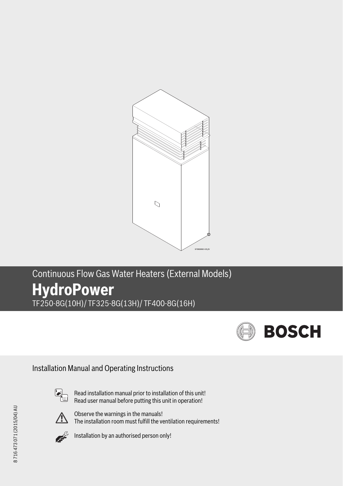

# Continuous Flow Gas Water Heaters (External Models) **HydroPower** TF250-8G(10H)/ TF325-8G(13H)/ TF400-8G(16H)



Installation Manual and Operating Instructions



Read installation manual prior to installation of this unit! Read user manual before putting this unit in operation!



Observe the warnings in the manuals! The installation room must fulfill the ventilation requirements!



Installation by an authorised person only!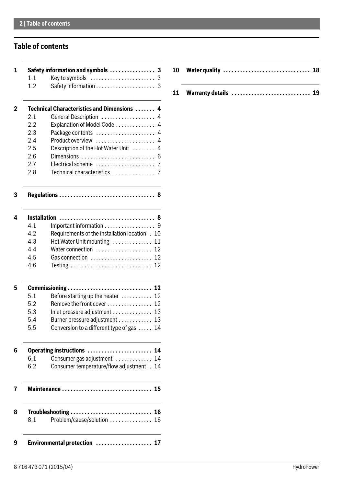# **Table of contents**

|     | Safety information and symbols  3                     |
|-----|-------------------------------------------------------|
| 1.1 |                                                       |
| 1.2 | 3                                                     |
|     | Technical Characteristics and Dimensions  4           |
| 2.1 | General Description  4                                |
| 2.2 | Explanation of Model Code<br>4                        |
| 2.3 | Package contents<br>4                                 |
| 2.4 | Product overview<br>4                                 |
| 2.5 | Description of the Hot Water Unit<br>4                |
| 2.6 | Dimensions<br>6                                       |
| 2.7 | Electrical scheme<br>7                                |
| 2.8 | Technical characteristics<br>$\overline{7}$           |
|     | -8<br>Regulations                                     |
|     | Installation<br>8                                     |
| 4.1 | Important information 9                               |
| 4.2 | Requirements of the installation location . 10        |
| 4.3 | Hot Water Unit mounting  11                           |
| 4.4 | Water connection $\ldots, \ldots, \ldots, \ldots, 12$ |
| 4.5 | Gas connection  12                                    |
| 4.6 | Testing  12                                           |
|     |                                                       |
| 5.1 | Before starting up the heater $\dots\dots\dots$ 12    |
| 5.2 | Remove the front cover 12                             |
| 5.3 |                                                       |
| 5.4 | Burner pressure adjustment  13                        |
| 5.5 | Conversion to a different type of gas  14             |
|     | Operating instructions  14                            |
| 6.1 | Consumer gas adjustment $\dots\dots\dots\dots$ 14     |
| 6.2 | Consumer temperature/flow adjustment . 14             |
|     | Maintenance  15                                       |
|     |                                                       |
|     | Troubleshooting  16                                   |
| 8.1 | Problem/cause/solution  16                            |

**[11 Warranty details . . . . . . . . . . . . . . . . . . . . . . . . . . . . 19](#page-18-0)**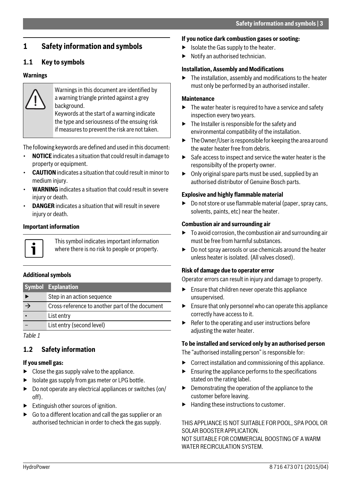# <span id="page-2-0"></span>**1 Safety information and symbols**

# <span id="page-2-1"></span>**1.1 Key to symbols**

### **Warnings**



Warnings in this document are identified by a warning triangle printed against a grey background.

Keywords at the start of a warning indicate the type and seriousness of the ensuing risk if measures to prevent the risk are not taken.

The following keywords are defined and used in this document:

- **NOTICE** indicates a situation that could result in damage to property or equipment.
- **CAUTION** indicates a situation that could result in minor to medium injury.
- **WARNING** indicates a situation that could result in severe injury or death.
- **DANGER** indicates a situation that will result in severe injury or death.

### **Important information**



This symbol indicates important information where there is no risk to people or property.

### **Additional symbols**

| <b>Symbol Explanation</b>                       |
|-------------------------------------------------|
| Step in an action sequence                      |
| Cross-reference to another part of the document |
| List entry                                      |
| List entry (second level)                       |

<span id="page-2-2"></span>*Table 1*

# **1.2 Safety information**

### **If you smell gas:**

- $\triangleright$  Close the gas supply valve to the appliance.
- ▶ Isolate gas supply from gas meter or LPG bottle.
- $\triangleright$  Do not operate any electrical appliances or switches (on/ off).
- ▶ Extinguish other sources of ignition.
- $\triangleright$  Go to a different location and call the gas supplier or an authorised technician in order to check the gas supply.

### **If you notice dark combustion gases or sooting:**

- $\blacktriangleright$  Isolate the Gas supply to the heater.
- Notify an authorised technician.

### **Installation, Assembly and Modifications**

The installation, assembly and modifications to the heater must only be performed by an authorised installer.

### **Maintenance**

- $\blacktriangleright$  The water heater is required to have a service and safety inspection every two years.
- $\blacktriangleright$  The Installer is responsible for the safety and environmental compatibility of the installation.
- $\blacktriangleright$  The Owner/User is responsible for keeping the area around the water heater free from debris.
- $\triangleright$  Safe access to inspect and service the water heater is the responsibilty of the property owner.
- $\triangleright$  Only original spare parts must be used, supplied by an authorised distributor of Genuine Bosch parts.

### **Explosive and highly flammable material**

 $\triangleright$  Do not store or use flammable material (paper, spray cans, solvents, paints, etc) near the heater.

### **Combustion air and surrounding air**

- $\triangleright$  To avoid corrosion, the combustion air and surrounding air must be free from harmful substances.
- $\triangleright$  Do not spray aerosols or use chemicals around the heater unless heater is isolated. (All valves closed).

### **Risk of damage due to operator error**

Operator errors can result in injury and damage to property.

- $\blacktriangleright$  Ensure that children never operate this appliance unsupervised.
- $\blacktriangleright$  Ensure that only personnel who can operate this appliance correctly have access to it.
- $\blacktriangleright$  Refer to the operating and user instructions before adjusting the water heater.

### **To be installed and serviced only by an authorised person**

The "authorised installing person" is responsible for:

- $\triangleright$  Correct installation and commissioning of this appliance.
- $\blacktriangleright$  Ensuring the appliance performs to the specifications stated on the rating label.
- ▶ Demonstrating the operation of the appliance to the customer before leaving.
- $\blacktriangleright$  Handing these instructions to customer.

THIS APPLIANCE IS NOT SUITABLE FOR POOL, SPA POOL OR SOLAR BOOSTER APPLICATION. NOT SUITABLE FOR COMMERCIAL BOOSTING OF A WARM WATER RECIRCULATION SYSTEM.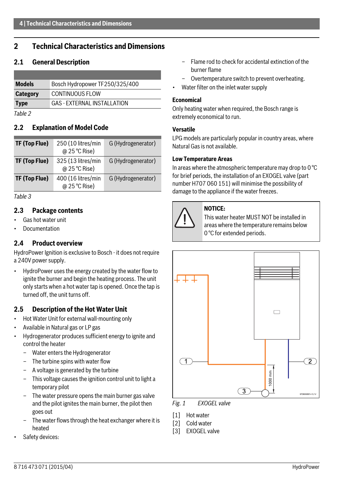# <span id="page-3-0"></span>**2 Technical Characteristics and Dimensions**

### <span id="page-3-1"></span>**2.1 General Description**

| <b>Models</b>   | Bosch Hydropower TF250/325/400     |
|-----------------|------------------------------------|
| <b>Category</b> | CONTINUOUS FLOW                    |
| <b>Type</b>     | <b>GAS - EXTERNAL INSTALLATION</b> |

*Table 2*

### <span id="page-3-2"></span>**2.2 Explanation of Model Code**

| TF (Top Flue) | 250 (10 litres/min<br>@ 25 °C Rise) | G (Hydrogenerator) |
|---------------|-------------------------------------|--------------------|
| TF (Top Flue) | 325 (13 litres/min<br>@ 25 °C Rise) | G (Hydrogenerator) |
| TF (Top Flue) | 400 (16 litres/min<br>@ 25 °C Rise) | G (Hydrogenerator) |

*Table 3*

### <span id="page-3-3"></span>**2.3 Package contents**

- Gas hot water unit
- <span id="page-3-4"></span>**Documentation**

### **2.4 Product overview**

HydroPower Ignition is exclusive to Bosch - it does not require a 240V power supply.

• HydroPower uses the energy created by the water flow to ignite the burner and begin the heating process. The unit only starts when a hot water tap is opened. Once the tap is turned off, the unit turns off.

### <span id="page-3-6"></span><span id="page-3-5"></span>**2.5 Description of the Hot Water Unit**

- Hot Water Unit for external wall-mounting only
- Available in Natural gas or LP gas
- Hydrogenerator produces sufficient energy to ignite and control the heater
	- Water enters the Hydrogenerator
	- The turbine spins with water flow
	- A voltage is generated by the turbine
	- This voltage causes the ignition control unit to light a temporary pilot
	- The water pressure opens the main burner gas valve and the pilot ignites the main burner, the pilot then goes out
	- The water flows through the heat exchanger where it is heated
- Safety devices:
- Flame rod to check for accidental extinction of the burner flame
- Overtemperature switch to prevent overheating.
- Water filter on the inlet water supply

### **Economical**

Only heating water when required, the Bosch range is extremely economical to run.

### **Versatile**

LPG models are particularly popular in country areas, where Natural Gas is not available.

### **Low Temperature Areas**

In areas where the atmospheric temperature may drop to 0 °C for brief periods, the installation of an EXOGEL valve (part number H707 060 151) will minimise the possibility of damage to the appliance if the water freezes.



### **NOTICE:**

This water heater MUST NOT be installed in areas where the temperature remains below 0 °C for extended periods.



*Fig. 1 EXOGEL valve*

- [1] Hot water
- [2] Cold water
- [3] **EXOGEL** valve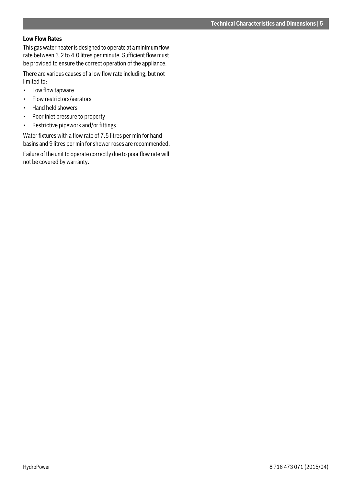### <span id="page-4-0"></span>**Low Flow Rates**

This gas water heater is designed to operate at a minimum flow rate between 3.2 to 4.0 litres per minute. Sufficient flow must be provided to ensure the correct operation of the appliance.

There are various causes of a low flow rate including, but not limited to:

- Low flow tapware
- Flow restrictors/aerators
- Hand held showers
- Poor inlet pressure to property
- Restrictive pipework and/or fittings

Water fixtures with a flow rate of 7.5 litres per min for hand basins and 9 litres per min for shower roses are recommended.

Failure of the unit to operate correctly due to poor flow rate will not be covered by warranty.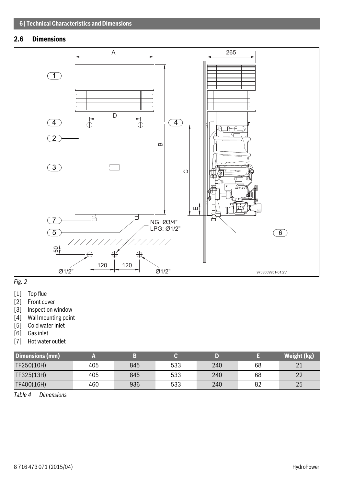# <span id="page-5-0"></span>**2.6 Dimensions**



# *Fig. 2*

- [1] Top flue
- [2] Front cover
- [3] Inspection window
- [4] Wall mounting point
- [5] Cold water inlet
- [6] Gas inlet
- [7] Hot water outlet

| Dimensions (mm) |     |     |     |     |    | Weight (kg) |
|-----------------|-----|-----|-----|-----|----|-------------|
| TF250(10H)      | 405 | 845 | 533 | 240 | 68 |             |
| TF325(13H)      | 405 | 845 | 533 | 240 | 68 | າາ          |
| TF400(16H)      | 460 | 936 | 533 | 240 | 82 | 25          |

*Table 4 Dimensions*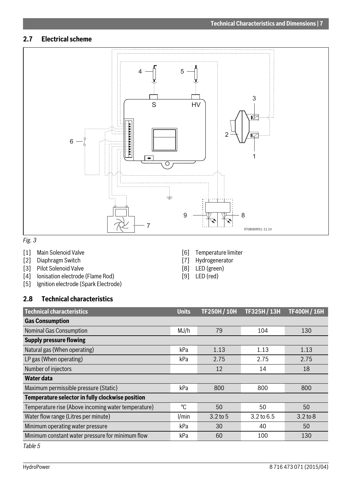# <span id="page-6-0"></span>**2.7 Electrical scheme**



# *Fig. 3*

- [1] Main Solenoid Valve
- [2] Diaphragm Switch<br>[3] Pilot Solenoid Valv
- [3] Pilot Solenoid Valve<br>[4] Ionisation electrode
- Ionisation electrode (Flame Rod)
- [5] Ignition electrode (Spark Electrode)
- [6] Temperature limiter [7] Hydrogenerator
- [8] LED (green)
- [9] LED (red)

# <span id="page-6-1"></span>**2.8 Technical characteristics**

| <b>Technical characteristics</b>                    | <b>Units</b> | <b>TF250H/10H</b> | TF325H/13H            | <b>TF400H / 16H</b> |  |  |
|-----------------------------------------------------|--------------|-------------------|-----------------------|---------------------|--|--|
| <b>Gas Consumption</b>                              |              |                   |                       |                     |  |  |
| Nominal Gas Consumption                             | MJ/h         | 79                | 104                   | 130                 |  |  |
| <b>Supply pressure flowing</b>                      |              |                   |                       |                     |  |  |
| Natural gas (When operating)                        | kPa          | 1.13              | 1.13                  | 1.13                |  |  |
| LP gas (When operating)                             | kPa          | 2.75              | 2.75                  | 2.75                |  |  |
| Number of injectors                                 |              | 12                | 14                    | 18                  |  |  |
| Water data                                          |              |                   |                       |                     |  |  |
| Maximum permissible pressure (Static)               | kPa          | 800               | 800                   | 800                 |  |  |
| Temperature selector in fully clockwise position    |              |                   |                       |                     |  |  |
| Temperature rise (Above incoming water temperature) | °C           | 50                | 50                    | 50                  |  |  |
| Water flow range (Litres per minute)                | 1/min        | $3.2$ to 5        | $3.2 \text{ to } 6.5$ | $3.2$ to $8$        |  |  |
| Minimum operating water pressure                    | kPa          | 30                | 40                    | 50                  |  |  |
| Minimum constant water pressure for minimum flow    | kPa          | 60                | 100                   | 130                 |  |  |
|                                                     |              |                   |                       |                     |  |  |

<span id="page-6-2"></span>*Table 5*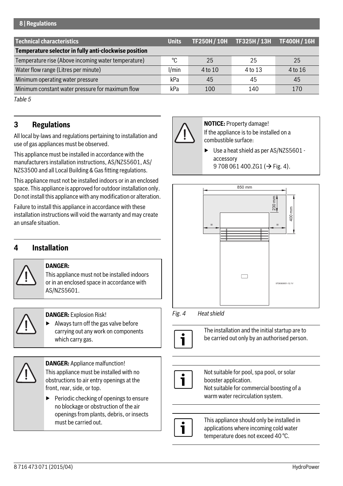### **8 | Regulations**

| <b>Technical characteristics</b>                      | <b>Units</b> |         | TF250H / 10H TF325H / 13H | <b>TF400H / 16H</b> |
|-------------------------------------------------------|--------------|---------|---------------------------|---------------------|
| Temperature selector in fully anti-clockwise position |              |         |                           |                     |
| Temperature rise (Above incoming water temperature)   | ∘∩           | 25      | 25                        | 25                  |
| Water flow range (Litres per minute)                  | l/min        | 4 to 10 | 4 to 13                   | 4 to 16             |
| Minimum operating water pressure                      | kPa          | 45      | 45                        | 45                  |
| Minimum constant water pressure for maximum flow      | kPa          | 100     | 140                       | 170                 |

*Table 5*

# <span id="page-7-0"></span>**3 Regulations**

All local by-laws and regulations pertaining to installation and use of gas appliances must be observed.

This appliance must be installed in accordance with the manufacturers installation instructions, AS/NZS5601, AS/ NZS3500 and all Local Building & Gas fitting regulations.

This appliance must not be installed indoors or in an enclosed space. This appliance is approved for outdoor installation only. Do not install this appliance with any modification or alteration.

Failure to install this appliance in accordance with these installation instructions will void the warranty and may create an unsafe situation.

# <span id="page-7-1"></span>**4 Installation**



### **DANGER:**

This appliance must not be installed indoors or in an enclosed space in accordance with AS/NZS5601.

**DANGER:** Explosion Risk!

▶ Always turn off the gas valve before carrying out any work on components which carry gas.



**DANGER:** Appliance malfunction! This appliance must be installed with no obstructions to air entry openings at the front, rear, side, or top.

▶ Periodic checking of openings to ensure no blockage or obstruction of the air openings from plants, debris, or insects must be carried out.



**NOTICE:** Property damage! If the appliance is to be installed on a combustible surface:

Use a heat shield as per AS/NZS5601 accessory 9 708 061 400.ZG1 ( $\rightarrow$  Fig[. 4\)](#page-7-2).



### <span id="page-7-2"></span>*Fig. 4 Heat shield*



The installation and the initial startup are to be carried out only by an authorised person.



Not suitable for pool, spa pool, or solar booster application. Not suitable for commercial boosting of a warm water recirculation system.



This appliance should only be installed in applications where incoming cold water temperature does not exceed 40 °C.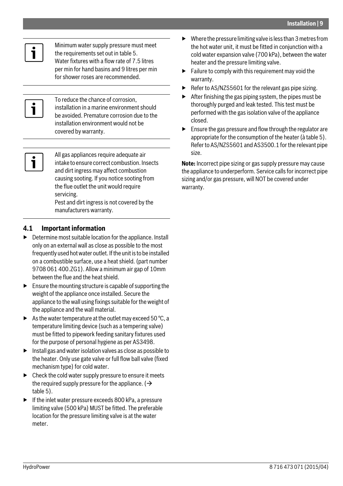

Minimum water supply pressure must meet the requirements set out in tabl[e 5.](#page-6-2) Water fixtures with a flow rate of 7.5 litres per min for hand basins and 9 litres per min for shower roses are recommended.



To reduce the chance of corrosion, installation in a marine environment should be avoided. Premature corrosion due to the installation environment would not be covered by warranty.



All gas appliances require adequate air intake to ensure correct combustion. Insects and dirt ingress may affect combustion causing sooting. If you notice sooting from the flue outlet the unit would require servicing.

Pest and dirt ingress is not covered by the manufacturers warranty.

# <span id="page-8-0"></span>**4.1 Important information**

- $\triangleright$  Determine most suitable location for the appliance. Install only on an external wall as close as possible to the most frequently used hot water outlet. If the unit is to be installed on a combustible surface, use a heat shield. (part number 9708 061 400.ZG1). Allow a minimum air gap of 10mm between the flue and the heat shield.
- $\blacktriangleright$  Ensure the mounting structure is capable of supporting the weight of the appliance once installed. Secure the appliance to the wall using fixings suitable for the weight of the appliance and the wall material.
- $\blacktriangleright$  As the water temperature at the outlet may exceed 50 °C, a temperature limiting device (such as a tempering valve) must be fitted to pipework feeding sanitary fixtures used for the purpose of personal hygiene as per AS3498.
- ▶ Install gas and water isolation valves as close as possible to the heater. Only use gate valve or full flow ball valve (fixed mechanism type) for cold water.
- $\blacktriangleright$  Check the cold water supply pressure to ensure it meets the required supply pressure for the appliance.  $\rightarrow$ tabl[e 5\)](#page-6-2).
- $\blacktriangleright$  If the inlet water pressure exceeds 800 kPa, a pressure limiting valve (500 kPa) MUST be fitted. The preferable location for the pressure limiting valve is at the water meter.
- $\blacktriangleright$  Where the pressure limiting valve is less than 3 metres from the hot water unit, it must be fitted in conjunction with a cold water expansion valve (700 kPa), between the water heater and the pressure limiting valve.
- $\blacktriangleright$  Failure to comply with this requirement may void the warranty.
- Refer to AS/NZS5601 for the relevant gas pipe sizing.
- After finishing the gas piping system, the pipes must be thoroughly purged and leak tested. This test must be performed with the gas isolation valve of the appliance closed.
- Ensure the gas pressure and flow through the regulator are appropriate for the consumption of the heater (à table [5](#page-6-2)). Refer to AS/NZS5601 and AS3500.1 for the relevant pipe size.

**Note:** Incorrect pipe sizing or gas supply pressure may cause the appliance to underperform. Service calls for incorrect pipe sizing and/or gas pressure, will NOT be covered under warranty.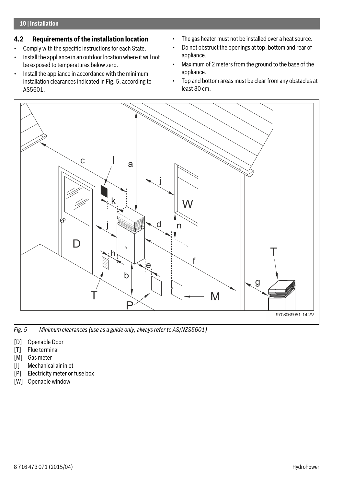# <span id="page-9-0"></span>**4.2 Requirements of the installation location**

- Comply with the specific instructions for each State.
- Install the appliance in an outdoor location where it will not be exposed to temperatures below zero.
- Install the appliance in accordance with the minimum installation clearances indicated in Fig. [5](#page-9-1), according to AS5601.
- The gas heater must not be installed over a heat source.
- Do not obstruct the openings at top, bottom and rear of appliance.
- Maximum of 2 meters from the ground to the base of the appliance.
- Top and bottom areas must be clear from any obstacles at least 30 cm.



<span id="page-9-1"></span>*Fig. 5 Minimum clearances (use as a guide only, always refer to AS/NZS5601)*

- [D] Openable Door
- [T] Flue terminal
- [M] Gas meter
- [I] Mechanical air inlet
- [P] Electricity meter or fuse box
- [W] Openable window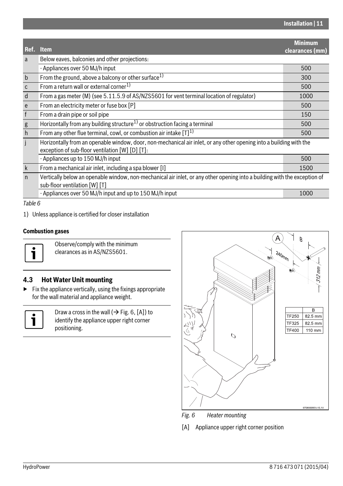<span id="page-10-1"></span>

|              |                                                                                                                                                                        | <b>Minimum</b>  |
|--------------|------------------------------------------------------------------------------------------------------------------------------------------------------------------------|-----------------|
| Ref.         | <b>Item</b>                                                                                                                                                            | clearances (mm) |
| a            | Below eaves, balconies and other projections:                                                                                                                          |                 |
|              | - Appliances over 50 MJ/h input                                                                                                                                        | 500             |
| $\mathsf{b}$ | From the ground, above a balcony or other surface $1$                                                                                                                  | 300             |
| $\mathsf{C}$ | From a return wall or external corner <sup>1)</sup>                                                                                                                    | 500             |
| d            | From a gas meter (M) (see 5.11.5.9 of AS/NZS5601 for vent terminal location of regulator)                                                                              | 1000            |
| e            | From an electricity meter or fuse box [P]                                                                                                                              | 500             |
| $\mathsf{f}$ | From a drain pipe or soil pipe                                                                                                                                         | 150             |
| g            | Horizontally from any building structure <sup>1)</sup> or obstruction facing a terminal                                                                                | 500             |
| h            | From any other flue terminal, cowl, or combustion air intake $[T]$ <sup>1)</sup>                                                                                       | 500             |
| j.           | Horizontally from an openable window, door, non-mechanical air inlet, or any other opening into a building with the<br>exception of sub-floor ventilation [W] [D] [T]. |                 |
|              | - Appliances up to 150 MJ/h input                                                                                                                                      | 500             |
| $\mathsf{k}$ | From a mechanical air inlet, including a spa blower [1]                                                                                                                | 1500            |
| $\mathsf{n}$ | Vertically below an openable window, non-mechanical air inlet, or any other opening into a building with the exception of<br>sub-floor ventilation [W] [T]             |                 |
|              | - Appliances over 50 MJ/h input and up to 150 MJ/h input                                                                                                               | 1000            |

### *Table 6*

1) Unless appliance is certified for closer installation

### **Combustion gases**



Observe/comply with the minimum clearances as in AS/NZS5601.

### <span id="page-10-0"></span>**4.3 Hot Water Unit mounting**

 $\blacktriangleright$  Fix the appliance vertically, using the fixings appropriate for the wall material and appliance weight.



Draw a cross in the wall ( $\rightarrow$  Fig[. 6,](#page-10-2) [A]) to identify the appliance upper right corner positioning.



<span id="page-10-2"></span>*Fig. 6 Heater mounting*

[A] Appliance upper right corner position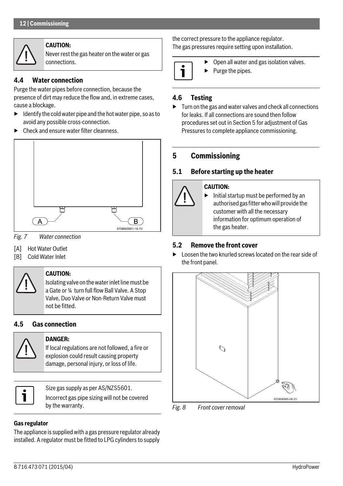

### **CAUTION:**

Never rest the gas heater on the water or gas connections.

# <span id="page-11-0"></span>**4.4 Water connection**

Purge the water pipes before connection, because the presence of dirt may reduce the flow and, in extreme cases, cause a blockage.

- $\blacktriangleright$  Identify the cold water pipe and the hot water pipe, so as to avoid any possible cross-connection.
- ▶ Check and ensure water filter cleanness.



*Fig. 7 Water connection*

- [A] Hot Water Outlet
- [B] Cold Water Inlet



### **CAUTION:**

**DANGER:** 

Isolating valve on the water inlet line must be a Gate or ¼ turn full flow Ball Valve. A Stop Valve, Duo Valve or Non-Return Valve must not be fitted.

# <span id="page-11-1"></span>**4.5 Gas connection**



### If local regulations are not followed, a fire or explosion could result causing property damage, personal injury, or loss of life.

Size gas supply as per AS/NZS5601. Incorrect gas pipe sizing will not be covered by the warranty.

### **Gas regulator**

The appliance is supplied with a gas pressure regulator already installed. A regulator must be fitted to LPG cylinders to supply

the correct pressure to the appliance regulator. The gas pressures require setting upon installation.



Open all water and gas isolation valves.

▶ Purge the pipes.

# <span id="page-11-2"></span>**4.6 Testing**

 $\blacktriangleright$  Turn on the gas and water valves and check all connections for leaks. If all connections are sound then follow procedures set out in Sectio[n 5](#page-11-6) for adjustment of Gas Pressures to complete appliance commissioning.

# <span id="page-11-6"></span><span id="page-11-3"></span>**5 Commissioning**

# <span id="page-11-4"></span>**5.1 Before starting up the heater**

### **CAUTION:**

Initial startup must be performed by an authorised gas fitter who will provide the customer with all the necessary information for optimum operation of the gas heater.

# <span id="page-11-5"></span>**5.2 Remove the front cover**

▶ Loosen the two knurled screws located on the rear side of the front panel.



*Fig. 8 Front cover removal*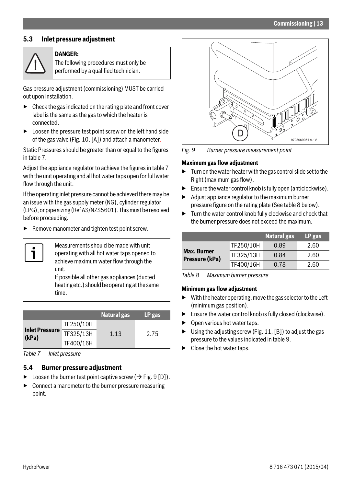### <span id="page-12-0"></span>**5.3 Inlet pressure adjustment**



#### **DANGER:**

The following procedures must only be performed by a qualified technician.

Gas pressure adjustment (commissioning) MUST be carried out upon installation.

- ▶ Check the gas indicated on the rating plate and front cover label is the same as the gas to which the heater is connected.
- $\blacktriangleright$  Loosen the pressure test point screw on the left hand side of the gas valve (Fig. [10](#page-13-4), [A]) and attach a manometer.

Static Pressures should be greater than or equal to the figures in table [7](#page-12-2).

Adjust the appliance regulator to achieve the figures in tabl[e 7](#page-12-2)  with the unit operating and all hot water taps open for full water flow through the unit.

If the operating inlet pressure cannot be achieved there may be an issue with the gas supply meter (NG), cylinder regulator (LPG), or pipe sizing (Ref AS/NZS5601). This must be resolved before proceeding.

Remove manometer and tighten test point screw.



Measurements should be made with unit operating with all hot water taps opened to achieve maximum water flow through the unit.

If possible all other gas appliances (ducted heating etc.) should be operating at the same time.

|                                |           | <b>Natural gas</b> | LP gas |
|--------------------------------|-----------|--------------------|--------|
|                                | TF250/10H |                    |        |
| <b>Inlet Pressure</b><br>(kPa) | TF325/13H | 1.13               | 2.75   |
|                                | TF400/16H |                    |        |

<span id="page-12-2"></span><span id="page-12-1"></span>*Table 7 Inlet pressure*

### **5.4 Burner pressure adjustment**

- $\triangleright$  Loosen the burner test point captive screw ( $\rightarrow$  Fig. [9](#page-12-3) [D]).
- $\triangleright$  Connect a manometer to the burner pressure measuring point.



<span id="page-12-3"></span>*Fig. 9 Burner pressure measurement point*

#### **Maximum gas flow adjustment**

- $\blacktriangleright$  Turn on the water heater with the gas control slide set to the Right (maximum gas flow).
- $\blacktriangleright$  Ensure the water control knob is fully open (anticlockwise).
- $\blacktriangleright$  Adjust appliance regulator to the maximum burner pressure figure on the rating plate (See tabl[e 8](#page-12-4) below).
- $\blacktriangleright$  Turn the water control knob fully clockwise and check that the burner pressure does not exceed the maximum.

|                                      |           | <b>Natural gas</b> | LP gas |
|--------------------------------------|-----------|--------------------|--------|
|                                      | TF250/10H | 0.89               | 2.60   |
| <b>Max. Burner</b><br>Pressure (kPa) | TF325/13H | 0.84               | 2.60   |
|                                      | TF400/16H | 0.78               | 2.60   |

<span id="page-12-4"></span>*Table 8 Maximum burner pressure*

#### **Minimum gas flow adjustment**

- $\triangleright$  With the heater operating, move the gas selector to the Left (minimum gas position).
- $\blacktriangleright$  Ensure the water control knob is fully closed (clockwise).
- Open various hot water taps.
- $\triangleright$  Using the adjusting screw (Fig[. 11](#page-13-5), [B]) to adjust the gas pressure to the values indicated in table [9](#page-13-6).
- Close the hot water taps.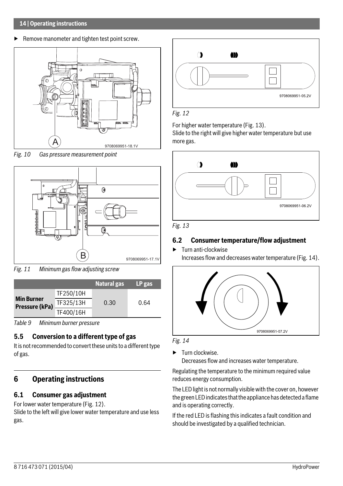#### **14 | Operating instructions**

 $\blacktriangleright$  Remove manometer and tighten test point screw.



<span id="page-13-4"></span>*Fig. 10 Gas pressure measurement point*



<span id="page-13-5"></span>*Fig. 11 Minimum gas flow adjusting screw*

|                                     |           | <b>Natural gas</b> | LP gas |
|-------------------------------------|-----------|--------------------|--------|
|                                     | TF250/10H |                    |        |
| <b>Min Burner</b><br>Pressure (kPa) | TF325/13H | 0.30               | 0.64   |
|                                     | TF400/16H |                    |        |

<span id="page-13-6"></span>*Table 9 Minimum burner pressure*

# <span id="page-13-0"></span>**5.5 Conversion to a different type of gas**

It is not recommended to convert these units to a different type of gas.

# <span id="page-13-1"></span>**6 Operating instructions**

# <span id="page-13-2"></span>**6.1 Consumer gas adjustment**

For lower water temperature (Fig. [12](#page-13-7)).

Slide to the left will give lower water temperature and use less gas.



### <span id="page-13-7"></span>*Fig. 12*

For higher water temperature (Fig[. 13\)](#page-13-8).

Slide to the right will give higher water temperature but use more gas.



<span id="page-13-8"></span>

### <span id="page-13-3"></span>**6.2 Consumer temperature/flow adjustment**

▶ Turn anti-clockwise Increases flow and decreases water temperature (Fig. [14](#page-13-9)).



<span id="page-13-9"></span>

▶ Turn clockwise. Decreases flow and increases water temperature.

Regulating the temperature to the minimum required value reduces energy consumption.

The LED light is not normally visible with the cover on, however the green LED indicates that the appliance has detected a flame and is operating correctly.

If the red LED is flashing this indicates a fault condition and should be investigated by a qualified technician.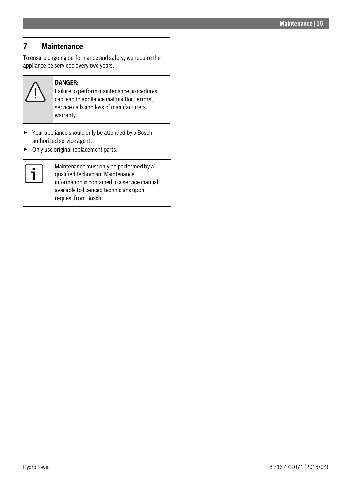# <span id="page-14-0"></span>**7 Maintenance**

To ensure ongoing performance and safety, we require the appliance be serviced every two years.



### **DANGER:**

Failure to perform maintenance procedures can lead to appliance malfunction, errors, service calls and loss of manufacturers warranty.

- ▶ Your appliance should only be attended by a Bosch authorised service agent.
- ▶ Only use original replacement parts.



Maintenance must only be performed by a qualified technician. Maintenance information is contained in a service manual available to licenced technicians upon request from Bosch.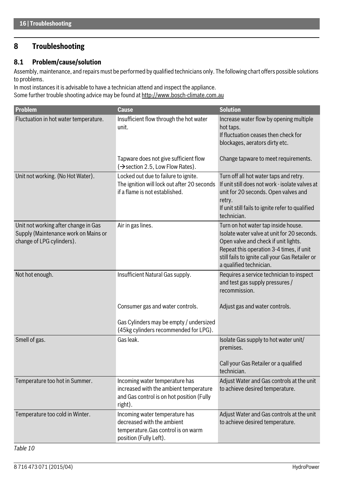# <span id="page-15-0"></span>**8 Troubleshooting**

### <span id="page-15-1"></span>**8.1 Problem/cause/solution**

Assembly, maintenance, and repairs must be performed by qualified technicians only. The following chart offers possible solutions to problems.

In most instances it is advisable to have a technician attend and inspect the appliance. Some further trouble shooting advice may be found at http://www.bosch-climate.com.au

| Problem                                                                                                   | <b>Cause</b>                                                                                                                     | <b>Solution</b>                                                                                                                                                                                                                                      |
|-----------------------------------------------------------------------------------------------------------|----------------------------------------------------------------------------------------------------------------------------------|------------------------------------------------------------------------------------------------------------------------------------------------------------------------------------------------------------------------------------------------------|
| Fluctuation in hot water temperature.                                                                     | Insufficient flow through the hot water<br>unit.                                                                                 | Increase water flow by opening multiple<br>hot taps.<br>If fluctuation ceases then check for<br>blockages, aerators dirty etc.                                                                                                                       |
|                                                                                                           | Tapware does not give sufficient flow<br>$(\rightarrow$ section 2.5, Low Flow Rates).                                            | Change tapware to meet requirements.                                                                                                                                                                                                                 |
| Unit not working. (No Hot Water).                                                                         | Locked out due to failure to ignite.<br>The ignition will lock out after 20 seconds<br>if a flame is not established.            | Turn off all hot water taps and retry.<br>If unit still does not work - isolate valves at<br>unit for 20 seconds. Open valves and<br>retry.<br>If unit still fails to ignite refer to qualified<br>technician.                                       |
| Unit not working after change in Gas<br>Supply (Maintenance work on Mains or<br>change of LPG cylinders). | Air in gas lines.                                                                                                                | Turn on hot water tap inside house.<br>Isolate water valve at unit for 20 seconds.<br>Open valve and check if unit lights.<br>Repeat this operation 3-4 times, if unit<br>still fails to ignite call your Gas Retailer or<br>a qualified technician. |
| Not hot enough.                                                                                           | Insufficient Natural Gas supply.<br>Consumer gas and water controls.<br>Gas Cylinders may be empty / undersized                  | Requires a service technician to inspect<br>and test gas supply pressures /<br>recommission.<br>Adjust gas and water controls.                                                                                                                       |
| Smell of gas.                                                                                             | (45kg cylinders recommended for LPG).<br>Gas leak.                                                                               | Isolate Gas supply to hot water unit/                                                                                                                                                                                                                |
|                                                                                                           |                                                                                                                                  | premises.<br>Call your Gas Retailer or a qualified<br>technician.                                                                                                                                                                                    |
| Temperature too hot in Summer.                                                                            | Incoming water temperature has<br>increased with the ambient temperature<br>and Gas control is on hot position (Fully<br>right). | Adjust Water and Gas controls at the unit<br>to achieve desired temperature.                                                                                                                                                                         |
| Temperature too cold in Winter.                                                                           | Incoming water temperature has<br>decreased with the ambient<br>temperature. Gas control is on warm<br>position (Fully Left).    | Adjust Water and Gas controls at the unit<br>to achieve desired temperature.                                                                                                                                                                         |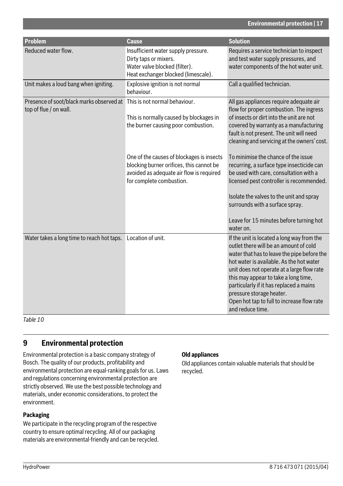| <b>Problem</b>                                                                                   | <b>Cause</b>                                                                                                                                                  | <b>Solution</b>                                                                                                                                                                                                                                                                                                                                                                                                |
|--------------------------------------------------------------------------------------------------|---------------------------------------------------------------------------------------------------------------------------------------------------------------|----------------------------------------------------------------------------------------------------------------------------------------------------------------------------------------------------------------------------------------------------------------------------------------------------------------------------------------------------------------------------------------------------------------|
| Reduced water flow.                                                                              | Insufficient water supply pressure.<br>Dirty taps or mixers.<br>Water valve blocked (filter).<br>Heat exchanger blocked (limescale).                          | Requires a service technician to inspect<br>and test water supply pressures, and<br>water components of the hot water unit.                                                                                                                                                                                                                                                                                    |
| Unit makes a loud bang when igniting.                                                            | Explosive ignition is not normal<br>behaviour.                                                                                                                | Call a qualified technician.                                                                                                                                                                                                                                                                                                                                                                                   |
| Presence of soot/black marks observed at This is not normal behaviour.<br>top of flue / on wall. | This is normally caused by blockages in<br>the burner causing poor combustion.                                                                                | All gas appliances require adequate air<br>flow for proper combustion. The ingress<br>of insects or dirt into the unit are not<br>covered by warranty as a manufacturing<br>fault is not present. The unit will need<br>cleaning and servicing at the owners' cost.                                                                                                                                            |
|                                                                                                  | One of the causes of blockages is insects<br>blocking burner orifices, this cannot be<br>avoided as adequate air flow is required<br>for complete combustion. | To minimise the chance of the issue<br>recurring, a surface type insecticide can<br>be used with care, consultation with a<br>licensed pest controller is recommended.<br>Isolate the valves to the unit and spray<br>surrounds with a surface spray.<br>Leave for 15 minutes before turning hot<br>water on.                                                                                                  |
| Water takes a long time to reach hot taps. Location of unit.                                     |                                                                                                                                                               | If the unit is located a long way from the<br>outlet there will be an amount of cold<br>water that has to leave the pipe before the<br>hot water is available. As the hot water<br>unit does not operate at a large flow rate<br>this may appear to take a long time,<br>particularly if it has replaced a mains<br>pressure storage heater.<br>Open hot tap to full to increase flow rate<br>and reduce time. |

*Table 10*

# <span id="page-16-0"></span>**9 Environmental protection**

Environmental protection is a basic company strategy of Bosch. The quality of our products, profitability and environmental protection are equal-ranking goals for us. Laws and regulations concerning environmental protection are strictly observed. We use the best possible technology and materials, under economic considerations, to protect the environment.

### **Packaging**

We participate in the recycling program of the respective country to ensure optimal recycling. All of our packaging materials are environmental-friendly and can be recycled.

### **Old appliances**

Old appliances contain valuable materials that should be recycled.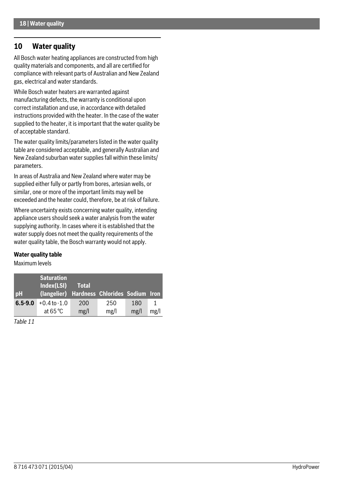# <span id="page-17-0"></span>**10 Water quality**

All Bosch water heating appliances are constructed from high quality materials and components, and all are certified for compliance with relevant parts of Australian and New Zealand gas, electrical and water standards.

While Bosch water heaters are warranted against manufacturing defects, the warranty is conditional upon correct installation and use, in accordance with detailed instructions provided with the heater. In the case of the water supplied to the heater, it is important that the water quality be of acceptable standard.

The water quality limits/parameters listed in the water quality table are considered acceptable, and generally Australian and New Zealand suburban water supplies fall within these limits/ parameters.

In areas of Australia and New Zealand where water may be supplied either fully or partly from bores, artesian wells, or similar, one or more of the important limits may well be exceeded and the heater could, therefore, be at risk of failure.

Where uncertainty exists concerning water quality, intending appliance users should seek a water analysis from the water supplying authority. In cases where it is established that the water supply does not meet the quality requirements of the water quality table, the Bosch warranty would not apply.

#### **Water quality table**

Maximum levels

| <b>DH</b>   | <b>Saturation</b><br>Index(LSI)<br>(langelier) Hardness Chlorides Sodium Iron | <b>Total</b> |             |             |      |
|-------------|-------------------------------------------------------------------------------|--------------|-------------|-------------|------|
| $6.5 - 9.0$ | $+0.4$ to $-1.0$<br>at $65^{\circ}$ C                                         | 200<br>mg/l  | 250<br>mg/l | 180<br>mg/1 | mg/l |

*Table 11*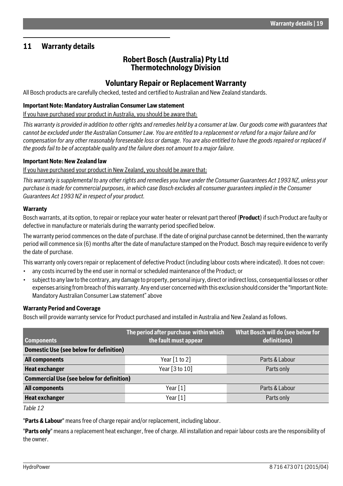# <span id="page-18-0"></span>**11 Warranty details**

# **Robert Bosch (Australia) Pty Ltd Thermotechnology Division**

# **Voluntary Repair or Replacement Warranty**

All Bosch products are carefully checked, tested and certified to Australian and New Zealand standards.

#### **Important Note: Mandatory Australian Consumer Law statement**

If you have purchased your product in Australia, you should be aware that:

*This warranty is provided in addition to other rights and remedies held by a consumer at law. Our goods come with guarantees that cannot be excluded under the Australian Consumer Law. You are entitled to a replacement or refund for a major failure and for compensation for any other reasonably foreseeable loss or damage. You are also entitled to have the goods repaired or replaced if the goods fail to be of acceptable quality and the failure does not amount to a major failure.*

#### **Important Note: New Zealand law**

If you have purchased your product in New Zealand, you should be aware that:

*This warranty is supplemental to any other rights and remedies you have under the Consumer Guarantees Act 1993 NZ, unless your purchase is made for commercial purposes, in which case Bosch excludes all consumer guarantees implied in the Consumer Guarantees Act 1993 NZ in respect of your product.*

#### **Warranty**

Bosch warrants, at its option, to repair or replace your water heater or relevant part thereof (**Product**) if such Product are faulty or defective in manufacture or materials during the warranty period specified below.

The warranty period commences on the date of purchase. If the date of original purchase cannot be determined, then the warranty period will commence six (6) months after the date of manufacture stamped on the Product. Bosch may require evidence to verify the date of purchase.

This warranty only covers repair or replacement of defective Product (including labour costs where indicated). It does not cover:

- any costs incurred by the end user in normal or scheduled maintenance of the Product; or
- subject to any law to the contrary, any damage to property, personal injury, direct or indirect loss, consequential losses or other expenses arising from breach of this warranty. Any end user concerned with this exclusion should consider the "Important Note: Mandatory Australian Consumer Law statement" above

### **Warranty Period and Coverage**

Bosch will provide warranty service for Product purchased and installed in Australia and New Zealand as follows.

|                                                  | The period after purchase within which | What Bosch will do (see below for |  |  |  |  |  |
|--------------------------------------------------|----------------------------------------|-----------------------------------|--|--|--|--|--|
| <b>Components</b>                                | the fault must appear                  | definitions)                      |  |  |  |  |  |
| Domestic Use (see below for definition)          |                                        |                                   |  |  |  |  |  |
| <b>All components</b>                            | Year $[1 \text{ to } 2]$               | Parts & Labour                    |  |  |  |  |  |
| <b>Heat exchanger</b>                            | Year [3 to 10]                         | Parts only                        |  |  |  |  |  |
| <b>Commercial Use (see below for definition)</b> |                                        |                                   |  |  |  |  |  |
| <b>All components</b>                            | Year $[1]$                             | Parts & Labour                    |  |  |  |  |  |
| <b>Heat exchanger</b>                            | Year $[1]$                             | Parts only                        |  |  |  |  |  |

*Table 12*

"**Parts & Labour**" means free of charge repair and/or replacement, including labour.

"**Parts only**" means a replacement heat exchanger, free of charge. All installation and repair labour costs are the responsibility of the owner.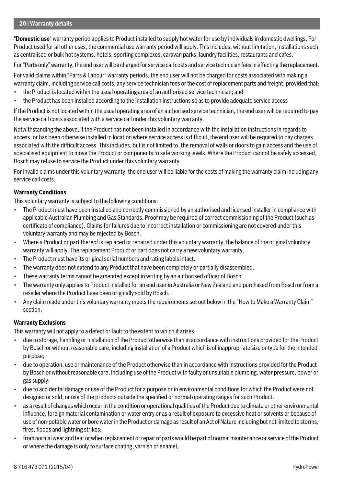"**Domestic use**" warranty period applies to Product installed to supply hot water for use by individuals in domestic dwellings. For Product used for all other uses, the commercial use warranty period will apply. This includes, without limitation, installations such as centralised or bulk hot systems, hotels, sporting complexes, caravan parks, laundry facilities, restaurants and cafes.

For "Parts only" warranty, the end user will be charged for service call costs and service technician fees in effecting the replacement.

For valid claims within "Parts & Labour" warranty periods, the end user will not be charged for costs associated with making a warranty claim, including service call costs, any service technician fees or the cost of replacement parts and freight, provided that:

- the Product is located within the usual operating area of an authorised service technician; and
- the Product has been installed according to the installation instructions so as to provide adequate service access

If the Product is not located within the usual operating area of an authorised service technician, the end user will be required to pay the service call costs associated with a service call under this voluntary warranty.

Notwithstanding the above, if the Product has not been installed in accordance with the installation instructions in regards to access, or has been otherwise installed in location where service access is difficult, the end user will be required to pay charges associated with the difficult access. This includes, but is not limited to, the removal of walls or doors to gain access and the use of specialised equipment to move the Product or components to safe working levels. Where the Product cannot be safely accessed, Bosch may refuse to service the Product under this voluntary warranty.

For invalid claims under this voluntary warranty, the end user will be liable for the costs of making the warranty claim including any service call costs.

### **Warranty Conditions**

This voluntary warranty is subject to the following conditions:

- The Product must have been installed and correctly commissioned by an authorised and licensed installer in compliance with applicable Australian Plumbing and Gas Standards. Proof may be required of correct commissioning of the Product (such as certificate of compliance). Claims for failures due to incorrect installation or commissioning are not covered under this voluntary warranty and may be rejected by Bosch.
- Where a Product or part thereof is replaced or repaired under this voluntary warranty, the balance of the original voluntary warranty will apply. The replacement Product or part does not carry a new voluntary warranty.
- The Product must have its original serial numbers and rating labels intact.
- The warranty does not extend to any Product that have been completely or partially disassembled.
- These warranty terms cannot be amended except in writing by an authorised officer of Bosch.
- The warranty only applies to Product installed for an end user in Australia or New Zealand and purchased from Bosch or from a reseller where the Product have been originally sold by Bosch.
- Any claim made under this voluntary warranty meets the requirements set out below in the "How to Make a Warranty Claim" section.

### **Warranty Exclusions**

This warranty will not apply to a defect or fault to the extent to which it arises:

- due to storage, handling or installation of the Product otherwise than in accordance with instructions provided for the Product by Bosch or without reasonable care, including installation of a Product which is of inappropriate size or type for the intended purpose;
- due to operation, use or maintenance of the Product otherwise than in accordance with instructions provided for the Product by Bosch or without reasonable care, including use of the Product with faulty or unsuitable plumbing, water pressure, power or gas supply;
- due to accidental damage or use of the Product for a purpose or in environmental conditions for which the Product were not designed or sold, or use of the products outside the specified or normal operating ranges for such Product.
- as a result of changes which occur in the condition or operational qualities of the Product due to climate or other environmental influence, foreign material contamination or water entry or as a result of exposure to excessive heat or solvents or because of use of non-potable water or bore water in the Product or damage as result of an Act of Nature including but not limited to storms, fires, floods and lightning strikes;
- from normal wear and tear or when replacement or repair of parts would be part of normal maintenance or service of the Product or where the damage is only to surface coating, varnish or enamel;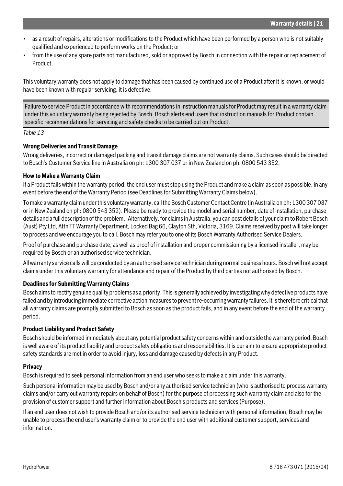- as a result of repairs, alterations or modifications to the Product which have been performed by a person who is not suitably qualified and experienced to perform works on the Product; or
- from the use of any spare parts not manufactured, sold or approved by Bosch in connection with the repair or replacement of Product.

This voluntary warranty does not apply to damage that has been caused by continued use of a Product after it is known, or would have been known with regular servicing, it is defective.

Failure to service Product in accordance with recommendations in instruction manuals for Product may result in a warranty claim under this voluntary warranty being rejected by Bosch. Bosch alerts end users that instruction manuals for Product contain specific recommendations for servicing and safety checks to be carried out on Product.

### *Table 13*

### **Wrong Deliveries and Transit Damage**

Wrong deliveries, incorrect or damaged packing and transit damage claims are not warranty claims. Such cases should be directed to Bosch's Customer Service line in Australia on ph: 1300 307 037 or in New Zealand on ph: 0800 543 352.

#### **How to Make a Warranty Claim**

If a Product fails within the warranty period, the end user must stop using the Product and make a claim as soon as possible, in any event before the end of the Warranty Period (see Deadlines for Submitting Warranty Claims below).

To make a warranty claim under this voluntary warranty, call the Bosch Customer Contact Centre (in Australia on ph: 1300 307 037 or in New Zealand on ph: 0800 543 352). Please be ready to provide the model and serial number, date of installation, purchase details and a full description of the problem. Alternatively, for claims in Australia, you can post details of your claim to Robert Bosch (Aust) Pty Ltd, Attn TT Warranty Department, Locked Bag 66, Clayton Sth, Victoria, 3169. Claims received by post will take longer to process and we encourage you to call. Bosch may refer you to one of its Bosch Warranty Authorised Service Dealers.

Proof of purchase and purchase date, as well as proof of installation and proper commissioning by a licensed installer, may be required by Bosch or an authorised service technician.

All warranty service calls will be conducted by an authorised service technician during normal business hours. Bosch will not accept claims under this voluntary warranty for attendance and repair of the Product by third parties not authorised by Bosch.

#### **Deadlines for Submitting Warranty Claims**

Bosch aims to rectify genuine quality problems as a priority. This is generally achieved by investigating why defective products have failed and by introducing immediate corrective action measures to prevent re-occurring warranty failures. It is therefore critical that all warranty claims are promptly submitted to Bosch as soon as the product fails, and in any event before the end of the warranty period.

#### **Product Liability and Product Safety**

Bosch should be informed immediately about any potential product safety concerns within and outside the warranty period. Bosch is well aware of its product liability and product safety obligations and responsibilities. It is our aim to ensure appropriate product safety standards are met in order to avoid injury, loss and damage caused by defects in any Product.

#### **Privacy**

Bosch is required to seek personal information from an end user who seeks to make a claim under this warranty.

Such personal information may be used by Bosch and/or any authorised service technician (who is authorised to process warranty claims and/or carry out warranty repairs on behalf of Bosch) for the purpose of processing such warranty claim and also for the provision of customer support and further information about Bosch's products and services (Purpose).

If an end user does not wish to provide Bosch and/or its authorised service technician with personal information, Bosch may be unable to process the end user's warranty claim or to provide the end user with additional customer support, services and information.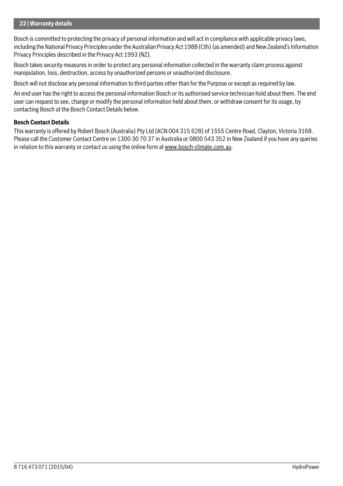#### **22 | Warranty details**

Bosch is committed to protecting the privacy of personal information and will act in compliance with applicable privacy laws, including the National Privacy Principles under the Australian Privacy Act 1988 (Cth) (as amended) and New Zealand's Information Privacy Principles described in the Privacy Act 1993 (NZ).

Bosch takes security measures in order to protect any personal information collected in the warranty claim process against manipulation, loss, destruction, access by unauthorized persons or unauthorized disclosure.

Bosch will not disclose any personal information to third parties other than for the Purpose or except as required by law.

An end user has the right to access the personal information Bosch or its authorised service technician hold about them. The end user can request to see, change or modify the personal information held about them, or withdraw consent for its usage, by contacting Bosch at the Bosch Contact Details below.

### **Bosch Contact Details**

This warranty is offered by Robert Bosch (Australia) Pty Ltd (ACN 004 315 628) of 1555 Centre Road, Clayton, Victoria 3168. Please call the Customer Contact Centre on 1300 30 70 37 in Australia or 0800 543 352 in New Zealand if you have any queries in relation to this warranty or contact us using the online form at www.bosch-climate.com.au.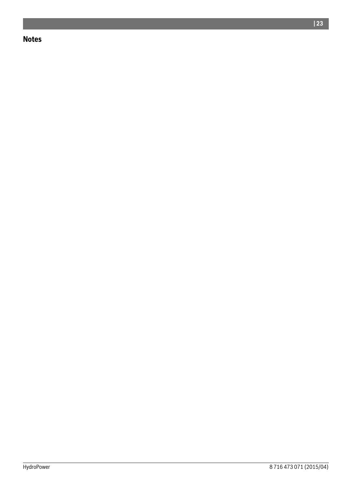# **Notes**